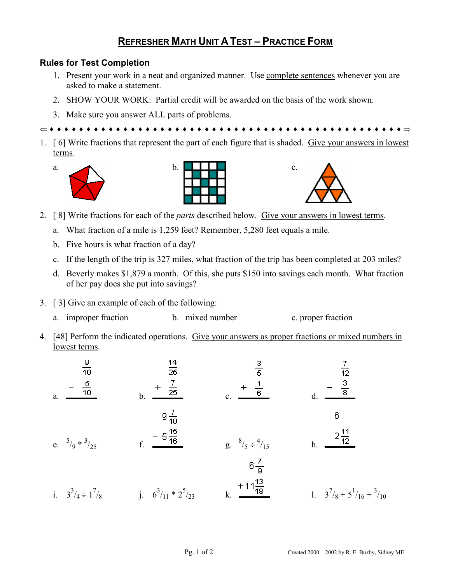## **REFRESHER MATH UNIT A TEST – PRACTICE FORM**

## **Rules for Test Completion**

- 1. Present your work in a neat and organized manner. Use complete sentences whenever you are asked to make a statement.
- 2. SHOW YOUR WORK: Partial credit will be awarded on the basis of the work shown.
- 3. Make sure you answer ALL parts of problems.

⇐ ♦ ♦ ♦ ♦ ♦ ♦ ♦ ♦ ♦ ♦ ♦ ♦ ♦ ♦ ♦ ♦ ♦ ♦ ♦ ♦ ♦ ♦ ♦ ♦ ♦ ♦ ♦ ♦ ♦ ♦ ♦ ♦ ♦ ♦ ♦ ♦ ♦ ♦ ♦ ♦ ♦ ♦ ♦ ♦ ♦ ♦ ♦ ♦ ⇒

1. [ 6] Write fractions that represent the part of each figure that is shaded. Give your answers in lowest terms.







- 2. [ 8] Write fractions for each of the *parts* described below. Give your answers in lowest terms.
	- a. What fraction of a mile is 1,259 feet? Remember, 5,280 feet equals a mile.
	- b. Five hours is what fraction of a day?
	- c. If the length of the trip is 327 miles, what fraction of the trip has been completed at 203 miles?
	- d. Beverly makes \$1,879 a month. Of this, she puts \$150 into savings each month. What fraction of her pay does she put into savings?
- 3. [ 3] Give an example of each of the following:
	- a. improper fraction b. mixed number c. proper fraction
- 4. [48] Perform the indicated operations. Give your answers as proper fractions or mixed numbers in lowest terms.

| $\frac{9}{10}$<br>$rac{6}{10}$<br>$a$ . | $\frac{14}{25}$<br>$\frac{7}{25}$<br>b. | $\frac{3}{5}$<br>$\mathbf{c}$ .            | $\frac{3}{8}$                |
|-----------------------------------------|-----------------------------------------|--------------------------------------------|------------------------------|
| e. $5/9 * 3/25$                         | $9\frac{7}{10}$<br>$rac{15}{16}$        | $g. \quad \frac{8}{5} \div \frac{4}{15}$   | 6<br>$-2\frac{11}{12}$<br>h. |
| i. $3^3/4 \div 1^7/8$                   | j. $6^3/11 * 2^5/23$                    | $6\frac{7}{9}$<br>$+11\frac{13}{18}$<br>k. | 1. $3^7/8 + 5^1/16 + 3/10$   |